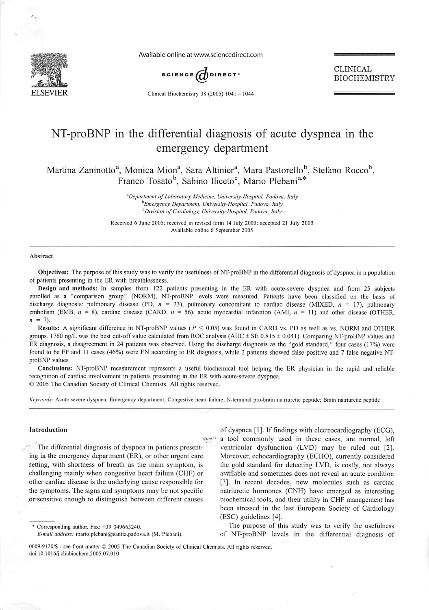

Available online at www.sciencedirect.com



CLINICAL BIOCHEMISTRY

Clinical Biochemistry 38 (2005)  $1041 - 1044$ 

# NT-proBNP in the differential diagnosis of acute dyspnea in the emergency department

Martina Zaninotto<sup>a</sup>, Monica Mion<sup>a</sup>, Sara Altinier<sup>a</sup>, Mara Pastorello<sup>b</sup>, Stefano Rocco<sup>b</sup>, Franco Tosato<sup>b</sup>, Sabino Iliceto<sup>c</sup>, Mario Plebani<sup>a,\*</sup>

> **'Department ofLaboratory Medicine, University-Hospital, Padova, Italy Emergency Department, University-Hospital, Padova, Italy ''Division of Cardiology, University-Hospital, Padova, Italy**

Received 6 June 2005; received in revised form 14 July 2005; accepted 21 July 2005 Available online 6 September 2005

## Abstract

Objectives: The purpose of this study was to verify the usefulness of NT-proBNPin the differential diagnosis of dyspnea in a population of patients presenting in the ER with breathlessncss.

Design and methods: In samples from 122 patients presenting in the ER with acute-severe dyspnea and from 25 subjects enrolled as a "comparison group" (NORM), NT-proBNP levels were measured. Patients have been classified on the basis of discharge diagnosis: pulmonary disease (PD, **n** = 23), pulmonary concomitant to cardiac disease (MIXED, **n** = 17), pulmonary embolism (EMB,  $n = 8$ ), cardiac disease (CARD,  $n = 56$ ), acute myocardial infarction (AMI,  $n = 11$ ) and other disease (OTHER,  $n = 7$ ).

Results: A significant difference in NT-proBNP values **(P <** 0.05) was found in CARD vs. PD as well as vs. NORM and OTHER groups. 1760 ng/L was the best cut-off value calculated from ROC analysis (AUC  $\pm$  SE 0.815  $\pm$  0.041). Comparing NT-proBNP values and ER diagnosis, a disagreement in 24 patients was observed. Using the discharge diagnosis as the "gold standard," four cases (17%) were found to be FP and <sup>11</sup> cases (46%) were FN according to ER diagnosis, while 2 patients showed false positive and 7 false negative NTproBNP values.

Conclusions: NT-proBNP measurement represents a useful biochemical tool helping the ER physician in the rapid and reliable recognition of cardiac involvement in patients presenting in the ER with acute-severe dyspnea. © 2005 The Canadian Society of Clinical Chemists. All rights reserved.

**Keywords:** Acute severe dyspnea; Emergency department; Congestive heart failure; N-terminal pro-brain natriuretic peptide; Brain natriuretic peptide

# Introduction

The differential diagnosis of dyspnea in patients present ing in the emergency department (ER), or other urgent care setting, with shortness of breath as the main symptom, is challenging mainly when congestive heart failure (CHF) or other cardiac disease is the underlying cause responsible for the symptoms. The signs and symptoms may be not specific or sensitive enough to distinguish between different causes

of dyspnea [1]. If findings with electrocardiography (ECG), • a tool commonly used in these cases, are normal, left ventricular dysfunction (LVD) may be ruled out [2]. Moreover, echocardiography (ECHO), currently considered the gold standard for detecting LVD, is costly, not always available and sometimes does not reveal an acute condition [3]. In recent decades, new molecules such as cardiac natriuretic hormones (CNH) have emerged as interesting biochemical tools, and their utility in CHF management has been stressed in the last European Society of Cardiology (ESC) guidelines [4].

\* Corresponding author. Fax: +39 049663240. **E-mail address:** mario.plcbani@sanita.padova.it (M. Plebani).

The purpose of this study was to verify the usefulness of NT-proBNP levels in the differential diagnosis of

<sup>0009-9120/</sup>S - see front matter © 2005 The Canadian Society of Clinical Chemists. All rights reserved. doi:10.1016/j.clinbiochem.2005.07.010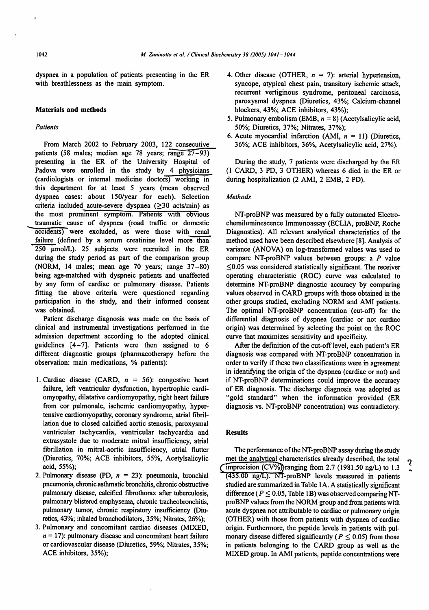dyspnea in a population of patients presenting in the ER with breathlessness as the main symptom.

#### *Materials and methods*

## **Patients**

From March 2002 to February 2003, 122 consecutive patients (58 males; median age 78 years; range 27–93) presenting in the ER of the University Hospital of Padova were enrolled in the study by 4 physicians (cardiologists or internal medicine doctors) working in this department for at least 5 years (mean observed dyspnea cases: about 150/year for each). Selection criteria included acute-severe dyspnea  $(≥30$  acts/min) as the most prominent symptom. Patients with obvious traumatic cause of dyspnea (road traffic or domestic accidents) were excluded, as were those with renal failure (defined by a serum creatinine level more than  $250 \text{ }\mu\text{mol/L}$ ). 25 subjects were recruited in the ER during the study period as part of the comparison group (NORM, 14 males; mean age 70 years; range 37-80) being age-matched with dyspneic patients and unaffected by any form of cardiac or pulmonary disease. Patients fitting the above criteria were questioned regarding participation in the study, and their informed consent was obtained.

Patient discharge diagnosis was made on the basis of clinical and instrumental investigations performed in the admission department according to the adopted clinical guidelines  $[4-7]$ . Patients were then assigned to 6 different diagnostic groups (pharmacotherapy before the observation: main medications, % patients):

- 1. Cardiac disease (CARD,  $n = 56$ ): congestive heart failure, left ventricular dysfunction, hypertrophic cardi omyopathy, dilatative cardiomyopathy, right heart failure from cor pulmonale, ischemic cardiomyopathy, hyper tensive cardiomyopathy, coronary syndrome, atrial fibril lation due to closed calcified aortic stenosis, paroxysmal ventricular tachycardia, ventricular tachycardia and extrasystole due to moderate mitral insufficiency, atrial fibrillation in mitral-aortic insufficiency, atrial flutter (Diuretics, 70%; ACE inhibitors, 55%, Acetylsalicylic acid, 55%);
- 2. Pulmonary disease (PD, **n** = 23): pneumonia, bronchial pneumonia,chronic asthmatic bronchitis, chronic obstructive pulmonary disease, calcified fibrothorax after tuberculosis, pulmonary blistered emphysema, chronic tracheobronchitis, pulmonary tumor, chronic respiratory insufficiency (Diu retics,43%; inhaled bronchodilators, 35%; Nitrates, 26%);
- 3. Pulmonary and concomitant cardiac diseases (MIXED, **n =** 17): pulmonary disease and concomitant heart failure or cardiovascular disease (Diuretics, 59%; Nitrates, 35%; ACE inhibitors, 35%);
- 4. Other disease (OTHER,  $n = 7$ ): arterial hypertension, syncope, atypical chest pain, transitory ischemic attack, recurrent vertiginous syndrome, peritoneal carcinosis, paroxysmal dyspnea (Diuretics, 43%; Calcium-channel blockers, 43%; ACE inhibitors, 43%);
- 5. Pulmonary embolism (EMB, **n** = 8) (Acetylsalicylic acid, 50%; Diuretics, 37%; Nitrates, 37%);
- 6. Acute myocardial infarction (AMI, **n =** 11) (Diuretics, 36%; ACE inhibitors, 36%, Acetylsalicylic acid, 27%).

During the study, 7 patients were discharged by the ER (1 CARD, 3 PD, 3 OTHER) whereas 6 died in the ER or during hospitalization (2 AMI, 2 EMB, 2 PD).

#### **Methods**

NT-proBNP was measured by a fully automated Electrochemiluminescence Immunoassay (ECLIA, proBNP, Roche Diagnostics). All relevant analytical characteristics of the method used have been described elsewhere [8]. Analysis of variance (ANOVA) on log-transformed values was used to compare NT-proBNP values between groups: a **P** value  $\leq$ 0.05 was considered statistically significant. The receiver operating characteristic (ROC) curve was calculated to determine NT-proBNP diagnostic accuracy by comparing values observed in CARD groups with those obtained in the other groups studied, excluding NORM and AMI patients. The optimal NT-proBNP concentration (cut-off) for the differential diagnosis of dyspnea (cardiac or not cardiac origin) was determined by selecting the point on the ROC curve that maximizes sensitivity and specificity.

After the definition of the cut-off level, each patient's ER diagnosis was compared with NT-proBNP concentration in order to verify if these two classifications were in agreement in identifying the origin of the dyspnea (cardiac or not) and if NT-proBNP determinations could improve the accuracy of ER diagnosis. The discharge diagnosis was adopted as "gold standard" when the information provided (ER diagnosis vs. NT-proBNP concentration) was contradictory.

## *Results*

The performance of the NT-proBNP assay during the study met the analytical characteristics already described, the total imprecision (CV%))ranging from 2.7 (1981.50 ng/L) to 1.3 (435.00 ng/L). NT-proBNP levels measured in patients studied are summarized in Table 1A. A statistically significant difference ( $P \le 0.05$ , Table 1B) was observed comparing NTproBNP values from the NORM group and from patients with acute dyspnea not attributable to cardiac or pulmonary origin (OTHER) with those from patients with dyspnea of cardiac origin. Furthermore, the peptide levels in patients with pul monary disease differed significantly ( $P \leq 0.05$ ) from those in patients belonging to the CARD group as well as the MIXED group. In AMI patients, peptide concentrations were

2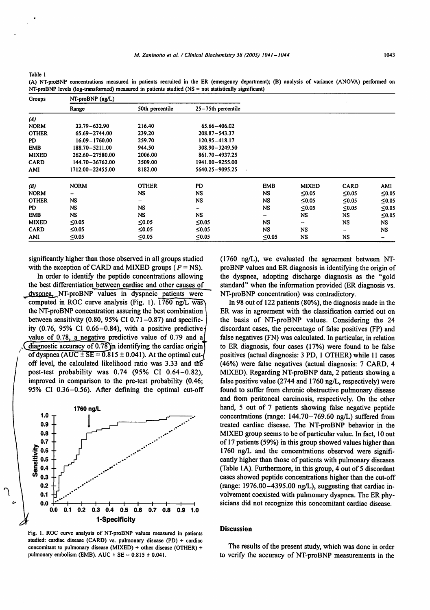*Table 1*

'

*(A) NT-proBNP concentrations measured in patients recruited in the ER (emergency department); (B) analysis of variance (ANOVA) performed on NT-proBNP levels (log-transformed) measured in patients studied (NS = not statistically significant)*

| Groups       | $NT-proBNP$ (ng/L) |                 |                    |                          |              |             |             |
|--------------|--------------------|-----------------|--------------------|--------------------------|--------------|-------------|-------------|
|              | Range              | 50th percentile | 25-75th percentile |                          |              |             |             |
| (A)          |                    |                 |                    |                          |              |             |             |
| <b>NORM</b>  | 33.79 - 632.90     | 216.40          | 65.66-406.02       |                          |              |             |             |
| <b>OTHER</b> | 65.69-2744.00      | 239.20          | 208.87-543.37      |                          |              |             |             |
| PD           | 16.09 - 1760.00    | 259.70          | 120.95 - 418.17    |                          |              |             |             |
| <b>EMB</b>   | 188.70 - 5211.00   | 944.50          | 308.90-3249.50     |                          |              |             |             |
| <b>MIXED</b> | 262.60-27580.00    | 2006.00         | 861.70-4937.25     |                          |              |             |             |
| <b>CARD</b>  | 144.70-36762.00    | 3509.00         | 1941.00-9255.00    |                          |              |             |             |
| AMI          | 1712.00-22455.00   | 8182.00         | 5640.25-9095.25    |                          |              |             |             |
| (B)          | <b>NORM</b>        | <b>OTHER</b>    | <b>PD</b>          | <b>EMB</b>               | <b>MIXED</b> | <b>CARD</b> | AMI         |
| <b>NORM</b>  |                    | <b>NS</b>       | <b>NS</b>          | NS                       | ≤0.05        | ≤0.05       | ≤0.05       |
| <b>OTHER</b> | NS.                |                 | <b>NS</b>          | NS                       | $\leq 0.05$  | ≤0.05       | ≤0.05       |
| PD           | NS.                | NS              | -                  | <b>NS</b>                | ≤0.05        | ≤0.05       | ≤0.05       |
| <b>EMB</b>   | NS.                | NS              | <b>NS</b>          | $\overline{\phantom{a}}$ | NS.          | NS.         | $\leq 0.05$ |
| <b>MIXED</b> | ≤0.05              | $≤0.05$         | $≤0.05$            | <b>NS</b>                | ÷            | <b>NS</b>   | <b>NS</b>   |
| <b>CARD</b>  | $\leq 0.05$        | $\leq 0.05$     | ≤0.05              | NS                       | <b>NS</b>    | -           | NS          |
| AMI          | ≤0.05              | $\leq 0.05$     | $≤0.05$            | $\leq 0.05$              | NS.          | NS          | -           |

significantly higher than those observed in all groups studied with the exception of CARD and MIXED groups  $(P = NS)$ .

In order to identify the peptide concentrations allowing the best differentiation between cardiac and other causes of dvspnea. NT-proBNP values in dyspneic patients were computed in ROC curve analysis (Fig. 1). 1760 ng/L was^ the NT-proBNP concentration assuring the best combination between sensitivity  $(0.80, 95\% \text{ CI } 0.71 - 0.87)$  and specificity (0.76, 95% CI 0.66-0.84), with a positive predictive **j** value of 0.78, a negative predictive value of 0.79 and a  $di$ agnostic accuracy of 0.78 $\nu$ in identifying the cardiac origin of dyspnea (AUC  $\pm$  SE = 0.815  $\pm$  0.041). At the optimal cutoff level, the calculated likelihood ratio was 3.33 and the post-test probability was 0.74 (95% CI 0.64-0.82), improved in comparison to the pre-test probability (0.46; 95% CI 0.36-0.56). After defining the optimal cut-off



*Fig. 1. ROC curve analysis of NT-proBNP values measured in patients studied: cardiac disease (CARD) vs. pulmonary disease (PD) + cardiac concomitant to pulmonary disease (MIXED) + other disease (OTHER) + pulmonary embolism (EMB). AUC ± SE = 0.815 ± 0.041.*

(1760 ng/L), we evaluated the agreement between NTproBNP values and ER diagnosis in identifying the origin of the dyspnea, adopting discharge diagnosis as the "gold standard" when the information provided (ER diagnosis vs. NT-proBNP concentration) was contradictory.

In 98 out of 122 patients (80%), the diagnosis made in the ER was in agreement with the classification carried out on the basis of NT-proBNP values. Considering the 24 discordant cases, the percentage of false positives (FP) and false negatives (FN) was calculated. In particular, in relation to ER diagnosis, four cases (17%) were found to be false positives (actual diagnosis: 3 PD, 1 OTHER) while 11 cases (46%) were false negatives (actual diagnosis: 7 CARD, 4 MIXED). Regarding NT-proBNP data, 2 patients showing a false positive value (2744 and 1760 ng/L, respectively) were found to suffer from chronic obstructive pulmonary disease and from peritoneal carcinosis, respectively. On the other hand, 5 out of 7 patients showing false negative peptide concentrations (range: 144.70-769.60 ng/L) suffered from treated cardiac disease. The NT-proBNP behavior in the MIXED group seems to be of particular value. In fact, 10 out of 17 patients (59%) in this group showed values higher than 1760 ng/L and the concentrations observed were significantly higher than those of patients with pulmonary diseases (Table 1A). Furthermore, in this group, 4 out of 5 discordant cases showed peptide concentrations higher than the cut-off (range: 1976.00-4395.00 ng/L), suggesting that cardiac in volvement coexisted with pulmonary dyspnea. The ER phy sicians did not recognize this concomitant cardiac disease.

#### Discussion

The results of the present study, which was done in order to verify the accuracy of NT-proBNP measurements in the